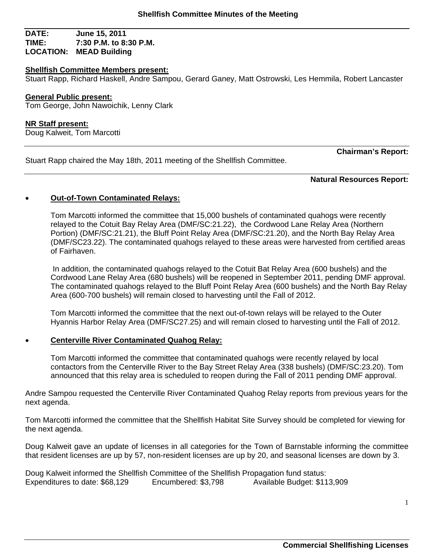### **DATE: June 15, 2011 TIME: 7:30 P.M. to 8:30 P.M. LOCATION: MEAD Building**

#### **Shellfish Committee Members present:**

Stuart Rapp, Richard Haskell, Andre Sampou, Gerard Ganey, Matt Ostrowski, Les Hemmila, Robert Lancaster

#### **General Public present:**

Tom George, John Nawoichik, Lenny Clark

#### **NR Staff present:**

Doug Kalweit, Tom Marcotti

Stuart Rapp chaired the May 18th, 2011 meeting of the Shellfish Committee.

**Chairman's Report:** 

#### **Natural Resources Report:**

### **Out-of-Town Contaminated Relays:**

Tom Marcotti informed the committee that 15,000 bushels of contaminated quahogs were recently relayed to the Cotuit Bay Relay Area (DMF/SC:21.22), the Cordwood Lane Relay Area (Northern Portion) (DMF/SC:21.21), the Bluff Point Relay Area (DMF/SC:21.20), and the North Bay Relay Area (DMF/SC23.22). The contaminated quahogs relayed to these areas were harvested from certified areas of Fairhaven.

 In addition, the contaminated quahogs relayed to the Cotuit Bat Relay Area (600 bushels) and the Cordwood Lane Relay Area (680 bushels) will be reopened in September 2011, pending DMF approval. The contaminated quahogs relayed to the Bluff Point Relay Area (600 bushels) and the North Bay Relay Area (600-700 bushels) will remain closed to harvesting until the Fall of 2012.

Tom Marcotti informed the committee that the next out-of-town relays will be relayed to the Outer Hyannis Harbor Relay Area (DMF/SC27.25) and will remain closed to harvesting until the Fall of 2012.

## **Centerville River Contaminated Quahog Relay:**

Tom Marcotti informed the committee that contaminated quahogs were recently relayed by local contactors from the Centerville River to the Bay Street Relay Area (338 bushels) (DMF/SC:23.20). Tom announced that this relay area is scheduled to reopen during the Fall of 2011 pending DMF approval.

Andre Sampou requested the Centerville River Contaminated Quahog Relay reports from previous years for the next agenda.

Tom Marcotti informed the committee that the Shellfish Habitat Site Survey should be completed for viewing for the next agenda.

Doug Kalweit gave an update of licenses in all categories for the Town of Barnstable informing the committee that resident licenses are up by 57, non-resident licenses are up by 20, and seasonal licenses are down by 3.

Doug Kalweit informed the Shellfish Committee of the Shellfish Propagation fund status: Expenditures to date: \$68,129 Encumbered: \$3,798 Available Budget: \$113,909

1